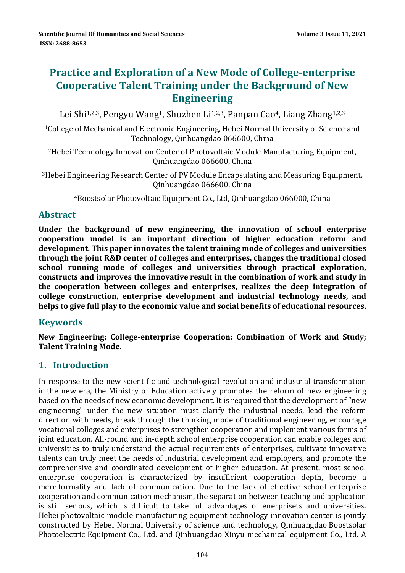# **Practice and Exploration of a New Mode of College‐enterprise Cooperative Talent Training under the Background of New Engineering**

Lei Shi<sup>1,2,3</sup>, Pengyu Wang<sup>1</sup>, Shuzhen Li<sup>1,2,3</sup>, Panpan Cao<sup>4</sup>, Liang Zhang<sup>1,2,3</sup>

<sup>1</sup>College of Mechanical and Electronic Engineering, Hebei Normal University of Science and Technology, Qinhuangdao 066600, China

<sup>2</sup>Hebei Technology Innovation Center of Photovoltaic Module Manufacturing Equipment, Qinhuangdao 066600, China 

 $3$ Hebei Engineering Research Center of PV Module Encapsulating and Measuring Equipment, Qinhuangdao 066600, China 

<sup>4</sup>Boostsolar Photovoltaic Equipment Co., Ltd, Oinhuangdao 066000, China

### **Abstract**

**Under the background of new engineering, the innovation of school enterprise cooperation model is an important direction of higher education reform and development. This paper innovates the talent training mode of colleges and universities through the joint R&D center of colleges and enterprises, changes the traditional closed school running mode of colleges and universities through practical exploration, constructs and improves the innovative result in the combination of work and study in the cooperation between colleges and enterprises, realizes the deep integration of college construction, enterprise development and industrial technology needs, and helps to give full play to the economic value and social benefits of educational resources.**

#### **Keywords**

**New Engineering; College‐enterprise Cooperation; Combination of Work and Study; Talent Training Mode.**

## **1. Introduction**

In response to the new scientific and technological revolution and industrial transformation in the new era, the Ministry of Education actively promotes the reform of new engineering based on the needs of new economic development. It is required that the development of "new engineering" under the new situation must clarify the industrial needs, lead the reform direction with needs, break through the thinking mode of traditional engineering, encourage vocational colleges and enterprises to strengthen cooperation and implement various forms of joint education. All-round and in-depth school enterprise cooperation can enable colleges and universities to truly understand the actual requirements of enterprises, cultivate innovative talents can truly meet the needs of industrial development and employers, and promote the comprehensive and coordinated development of higher education. At present, most school enterprise cooperation is characterized by insufficient cooperation depth, become a mere formality and lack of communication. Due to the lack of effective school enterprise cooperation and communication mechanism, the separation between teaching and application is still serious, which is difficult to take full advantages of enerprisets and universities. Hebei photovoltaic module manufacturing equipment technology innovation center is jointly constructed by Hebei Normal University of science and technology, Qinhuangdao Boostsolar Photoelectric Equipment Co., Ltd. and Qinhuangdao Xinyu mechanical equipment Co., Ltd. A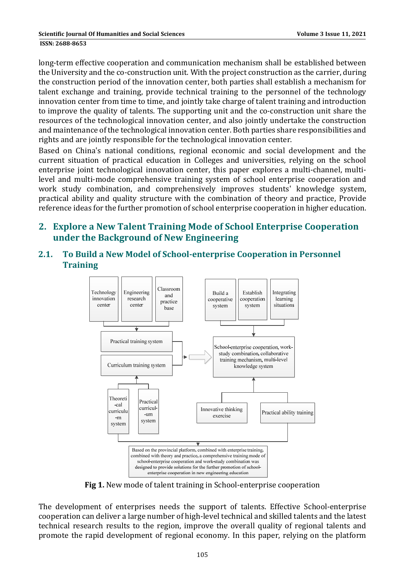long-term effective cooperation and communication mechanism shall be established between the University and the co-construction unit. With the project construction as the carrier, during the construction period of the innovation center, both parties shall establish a mechanism for talent exchange and training, provide technical training to the personnel of the technology innovation center from time to time, and jointly take charge of talent training and introduction to improve the quality of talents. The supporting unit and the co-construction unit share the resources of the technological innovation center, and also jointly undertake the construction and maintenance of the technological innovation center. Both parties share responsibilities and rights and are jointly responsible for the technological innovation center.

Based on China's national conditions, regional economic and social development and the current situation of practical education in Colleges and universities, relying on the school enterprise joint technological innovation center, this paper explores a multi-channel, multilevel and multi-mode comprehensive training system of school enterprise cooperation and work study combination, and comprehensively improves students' knowledge system, practical ability and quality structure with the combination of theory and practice, Provide reference ideas for the further promotion of school enterprise cooperation in higher education.

#### **2. Explore a New Talent Training Mode of School Enterprise Cooperation under the Background of New Engineering**

**2.1. To Build a New Model of School‐enterprise Cooperation in Personnel Training**



**Fig 1.** New mode of talent training in School-enterprise cooperation

The development of enterprises needs the support of talents. Effective School-enterprise cooperation can deliver a large number of high-level technical and skilled talents and the latest technical research results to the region, improve the overall quality of regional talents and promote the rapid development of regional economy. In this paper, relying on the platform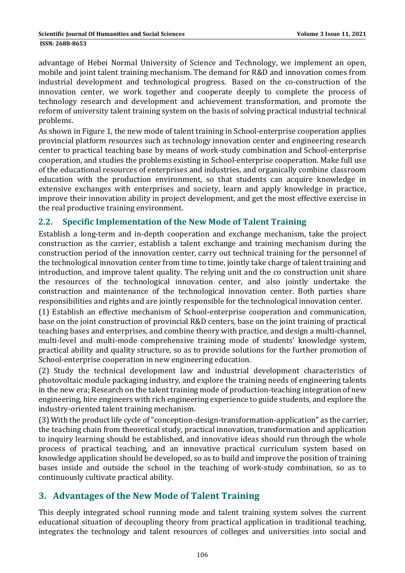advantage of Hebei Normal University of Science and Technology, we implement an open, mobile and joint talent training mechanism. The demand for R&D and innovation comes from industrial development and technological progress. Based on the co-construction of the innovation center, we work together and cooperate deeply to complete the process of technology research and development and achievement transformation, and promote the reform of university talent training system on the basis of solving practical industrial technical problems. 

As shown in Figure 1, the new mode of talent training in School-enterprise cooperation applies provincial platform resources such as technology innovation center and engineering research center to practical teaching base by means of work-study combination and School-enterprise cooperation, and studies the problems existing in School-enterprise cooperation. Make full use of the educational resources of enterprises and industries, and organically combine classroom education with the production environment, so that students can acquire knowledge in extensive exchanges with enterprises and society, learn and apply knowledge in practice, improve their innovation ability in project development, and get the most effective exercise in the real productive training environment.

#### **2.2. Specific Implementation of the New Mode of Talent Training**

Establish a long-term and in-depth cooperation and exchange mechanism, take the project construction as the carrier, establish a talent exchange and training mechanism during the construction period of the innovation center, carry out technical training for the personnel of the technological innovation center from time to time, jointly take charge of talent training and introduction, and improve talent quality. The relying unit and the co construction unit share the resources of the technological innovation center, and also jointly undertake the construction and maintenance of the technological innovation center. Both parties share responsibilities and rights and are jointly responsible for the technological innovation center.

(1) Establish an effective mechanism of School-enterprise cooperation and communication, base on the joint construction of provincial R&D centers, base on the joint training of practical teaching bases and enterprises, and combine theory with practice, and design a multi-channel, multi-level and multi-mode comprehensive training mode of students' knowledge system, practical ability and quality structure, so as to provide solutions for the further promotion of School-enterprise cooperation in new engineering education.

(2) Study the technical development law and industrial development characteristics of photovoltaic module packaging industry, and explore the training needs of engineering talents in the new era; Research on the talent training mode of production-teaching integration of new engineering, hire engineers with rich engineering experience to guide students, and explore the industry-oriented talent training mechanism.

(3) With the product life cycle of "conception-design-transformation-application" as the carrier, the teaching chain from theoretical study, practical innovation, transformation and application to inquiry learning should be established, and innovative ideas should run through the whole process of practical teaching, and an innovative practical curriculum system based on knowledge application should be developed, so as to build and improve the position of training bases inside and outside the school in the teaching of work-study combination, so as to continuously cultivate practical ability.

## **3. Advantages of the New Mode of Talent Training**

This deeply integrated school running mode and talent training system solves the current educational situation of decoupling theory from practical application in traditional teaching, integrates the technology and talent resources of colleges and universities into social and